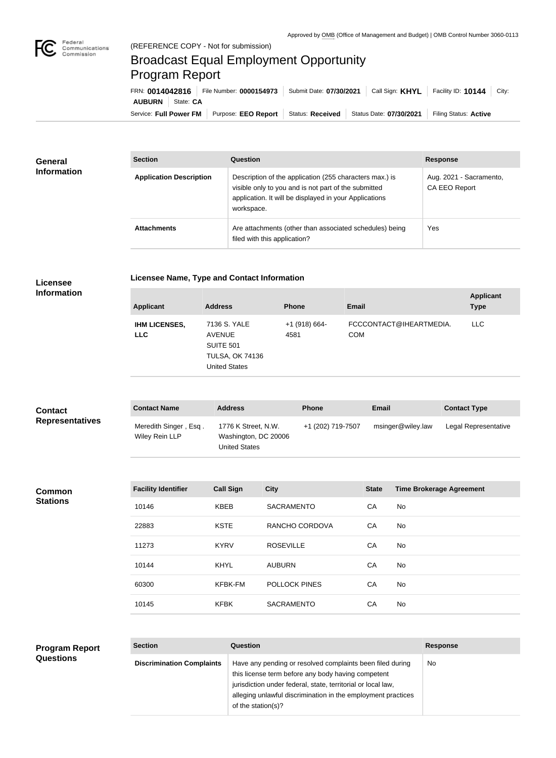

## Broadcast Equal Employment Opportunity Program Report

| FRN: 0014042816                              | File Number: 0000154973 | Submit Date: 07/30/2021 | Call Sign: <b>KHYL</b>  | Facility ID: $10144$ City: |
|----------------------------------------------|-------------------------|-------------------------|-------------------------|----------------------------|
| <b>AUBURN</b><br>State: CA                   |                         |                         |                         |                            |
| Service: Full Power FM   Purpose: EEO Report |                         | Status: Received        | Status Date: 07/30/2021 | Filing Status: Active      |

| <b>General</b><br><b>Information</b> | <b>Section</b>                 | <b>Question</b>                                                                                                                                                                         | <b>Response</b>                                 |
|--------------------------------------|--------------------------------|-----------------------------------------------------------------------------------------------------------------------------------------------------------------------------------------|-------------------------------------------------|
|                                      | <b>Application Description</b> | Description of the application (255 characters max.) is<br>visible only to you and is not part of the submitted<br>application. It will be displayed in your Applications<br>workspace. | Aug. 2021 - Sacramento,<br><b>CA EEO Report</b> |
|                                      | <b>Attachments</b>             | Are attachments (other than associated schedules) being<br>filed with this application?                                                                                                 | Yes                                             |

|  | <b>Licensee Name, Type and Contact Information</b> |
|--|----------------------------------------------------|
|--|----------------------------------------------------|

**Licensee Information**

| <b>Applicant</b>                   | <b>Address</b>                                                                               | <b>Phone</b>            | Email                                 | <b>Applicant</b><br><b>Type</b> |
|------------------------------------|----------------------------------------------------------------------------------------------|-------------------------|---------------------------------------|---------------------------------|
| <b>IHM LICENSES,</b><br><b>LLC</b> | 7136 S. YALE<br>AVENUE<br><b>SUITE 501</b><br><b>TULSA, OK 74136</b><br><b>United States</b> | $+1$ (918) 664-<br>4581 | FCCCONTACT@IHEARTMEDIA.<br><b>COM</b> | LLC.                            |

| <b>Contact</b>         | <b>Contact Name</b>                     | <b>Address</b>                                                      | <b>Phone</b>      | <b>Email</b>      | <b>Contact Type</b>  |
|------------------------|-----------------------------------------|---------------------------------------------------------------------|-------------------|-------------------|----------------------|
| <b>Representatives</b> | Meredith Singer, Esq.<br>Wiley Rein LLP | 1776 K Street, N.W.<br>Washington, DC 20006<br><b>United States</b> | +1 (202) 719-7507 | msinger@wiley.law | Legal Representative |

| Common          |
|-----------------|
| <b>Stations</b> |

| <b>Facility Identifier</b> | <b>Call Sign</b> | <b>City</b>          | <b>State</b> | <b>Time Brokerage Agreement</b> |
|----------------------------|------------------|----------------------|--------------|---------------------------------|
| 10146                      | <b>KBEB</b>      | <b>SACRAMENTO</b>    | CA           | No                              |
| 22883                      | <b>KSTE</b>      | RANCHO CORDOVA       | CA           | No                              |
| 11273                      | <b>KYRV</b>      | <b>ROSEVILLE</b>     | CA           | No                              |
| 10144                      | <b>KHYL</b>      | <b>AUBURN</b>        | CA           | No                              |
| 60300                      | <b>KFBK-FM</b>   | <b>POLLOCK PINES</b> | CA           | No                              |
| 10145                      | <b>KFBK</b>      | <b>SACRAMENTO</b>    | CA           | No                              |

**Section Question Response**

No

| <b>Program Report</b> | <b>Section</b>                   | Question                                                                                                                                                                                                                                        |
|-----------------------|----------------------------------|-------------------------------------------------------------------------------------------------------------------------------------------------------------------------------------------------------------------------------------------------|
| <b>Questions</b>      | <b>Discrimination Complaints</b> | Have any pending or resolved complaints been filed during<br>this license term before any body having competent<br>jurisdiction under federal, state, territorial or local law,<br>alleging unlawful discrimination in the employment practices |

of the station(s)?